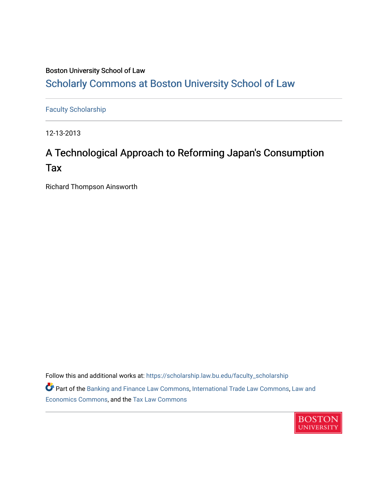# Boston University School of Law [Scholarly Commons at Boston University School of Law](https://scholarship.law.bu.edu/)

[Faculty Scholarship](https://scholarship.law.bu.edu/faculty_scholarship)

12-13-2013

# A Technological Approach to Reforming Japan's Consumption Tax

Richard Thompson Ainsworth

Follow this and additional works at: [https://scholarship.law.bu.edu/faculty\\_scholarship](https://scholarship.law.bu.edu/faculty_scholarship?utm_source=scholarship.law.bu.edu%2Ffaculty_scholarship%2F1434&utm_medium=PDF&utm_campaign=PDFCoverPages) Part of the [Banking and Finance Law Commons,](http://network.bepress.com/hgg/discipline/833?utm_source=scholarship.law.bu.edu%2Ffaculty_scholarship%2F1434&utm_medium=PDF&utm_campaign=PDFCoverPages) [International Trade Law Commons](http://network.bepress.com/hgg/discipline/848?utm_source=scholarship.law.bu.edu%2Ffaculty_scholarship%2F1434&utm_medium=PDF&utm_campaign=PDFCoverPages), [Law and](http://network.bepress.com/hgg/discipline/612?utm_source=scholarship.law.bu.edu%2Ffaculty_scholarship%2F1434&utm_medium=PDF&utm_campaign=PDFCoverPages) [Economics Commons,](http://network.bepress.com/hgg/discipline/612?utm_source=scholarship.law.bu.edu%2Ffaculty_scholarship%2F1434&utm_medium=PDF&utm_campaign=PDFCoverPages) and the [Tax Law Commons](http://network.bepress.com/hgg/discipline/898?utm_source=scholarship.law.bu.edu%2Ffaculty_scholarship%2F1434&utm_medium=PDF&utm_campaign=PDFCoverPages)

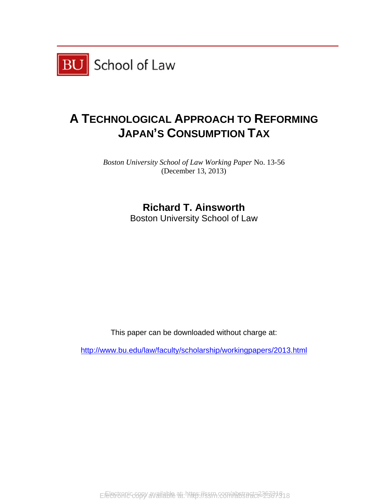

# **A** TECHNOLOGICAL APPROACH TO REFORMING  $JAPAN'S CONSUMP$  **TAX**

Boston University School of Law Working Paper No. 13-56 (December 13, 2013)

# **R Richard T. Ainsw worth**

Boston University School of Law

This paper can be downloaded without cha w<br>arge at:

http://www.bu.edu/law/faculty/scholarship/workingpapers/2013.html

Electronic copy available at https://ssrn.com/abstract=236781818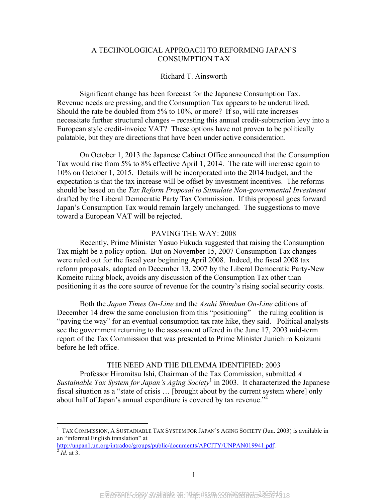### A TECHNOLOGICAL APPROACH TO REFORMING JAPAN'S CONSUMPTION TAX

#### Richard T. Ainsworth

Significant change has been forecast for the Japanese Consumption Tax. Revenue needs are pressing, and the Consumption Tax appears to be underutilized. Should the rate be doubled from 5% to 10%, or more? If so, will rate increases necessitate further structural changes – recasting this annual credit-subtraction levy into a European style credit-invoice VAT? These options have not proven to be politically palatable, but they are directions that have been under active consideration.

On October 1, 2013 the Japanese Cabinet Office announced that the Consumption Tax would rise from 5% to 8% effective April 1, 2014. The rate will increase again to 10% on October 1, 2015. Details will be incorporated into the 2014 budget, and the expectation is that the tax increase will be offset by investment incentives. The reforms should be based on the *Tax Reform Proposal to Stimulate Non-governmental Investment* drafted by the Liberal Democratic Party Tax Commission. If this proposal goes forward Japan's Consumption Tax would remain largely unchanged. The suggestions to move toward a European VAT will be rejected.

#### PAVING THE WAY: 2008

Recently, Prime Minister Yasuo Fukuda suggested that raising the Consumption Tax might be a policy option. But on November 15, 2007 Consumption Tax changes were ruled out for the fiscal year beginning April 2008. Indeed, the fiscal 2008 tax reform proposals, adopted on December 13, 2007 by the Liberal Democratic Party-New Komeito ruling block, avoids any discussion of the Consumption Tax other than positioning it as the core source of revenue for the country's rising social security costs.

Both the *Japan Times On-Line* and the *Asahi Shimbun On-Line* editions of December 14 drew the same conclusion from this "positioning" – the ruling coalition is "paving the way" for an eventual consumption tax rate hike, they said. Political analysts see the government returning to the assessment offered in the June 17, 2003 mid-term report of the Tax Commission that was presented to Prime Minister Junichiro Koizumi before he left office.

#### THE NEED AND THE DILEMMA IDENTIFIED: 2003

Professor Hiromitsu Ishi, Chairman of the Tax Commission, submitted *A Sustainable Tax System for Japan's Aging Society*<sup>1</sup> in 2003. It characterized the Japanese fiscal situation as a "state of crisis … [brought about by the current system where] only about half of Japan's annual expenditure is covered by tax revenue."<sup>2</sup>

http://unpan1.un.org/intradoc/groups/public/documents/APCITY/UNPAN019941.pdf.<sup>2</sup> *Id.* at 3.

<sup>&</sup>lt;sup>1</sup> TAX COMMISSION, A SUSTAINABLE TAX SYSTEM FOR JAPAN'S AGING SOCIETY (Jun. 2003) is available in an "informal English translation" at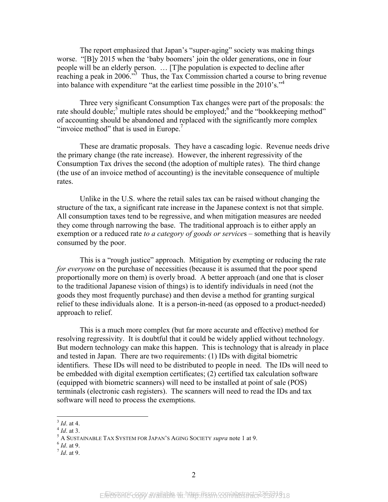The report emphasized that Japan's "super-aging" society was making things worse. "[B]y 2015 when the 'baby boomers' join the older generations, one in four people will be an elderly person. … [T]he population is expected to decline after reaching a peak in 2006. $\frac{3}{2}$  Thus, the Tax Commission charted a course to bring revenue into balance with expenditure "at the earliest time possible in the 2010's."4

Three very significant Consumption Tax changes were part of the proposals: the rate should double;  $5$  multiple rates should be employed;  $6$  and the "bookkeeping method" of accounting should be abandoned and replaced with the significantly more complex "invoice method" that is used in Europe. $<sup>7</sup>$ </sup>

These are dramatic proposals. They have a cascading logic. Revenue needs drive the primary change (the rate increase). However, the inherent regressivity of the Consumption Tax drives the second (the adoption of multiple rates). The third change (the use of an invoice method of accounting) is the inevitable consequence of multiple rates.

Unlike in the U.S. where the retail sales tax can be raised without changing the structure of the tax, a significant rate increase in the Japanese context is not that simple. All consumption taxes tend to be regressive, and when mitigation measures are needed they come through narrowing the base. The traditional approach is to either apply an exemption or a reduced rate *to a category of goods or service*s – something that is heavily consumed by the poor.

This is a "rough justice" approach. Mitigation by exempting or reducing the rate *for everyone* on the purchase of necessities (because it is assumed that the poor spend proportionally more on them) is overly broad. A better approach (and one that is closer to the traditional Japanese vision of things) is to identify individuals in need (not the goods they most frequently purchase) and then devise a method for granting surgical relief to these individuals alone. It is a person-in-need (as opposed to a product-needed) approach to relief.

This is a much more complex (but far more accurate and effective) method for resolving regressivity. It is doubtful that it could be widely applied without technology. But modern technology can make this happen. This is technology that is already in place and tested in Japan. There are two requirements: (1) IDs with digital biometric identifiers. These IDs will need to be distributed to people in need. The IDs will need to be embedded with digital exemption certificates; (2) certified tax calculation software (equipped with biometric scanners) will need to be installed at point of sale (POS) terminals (electronic cash registers). The scanners will need to read the IDs and tax software will need to process the exemptions.

<sup>&</sup>lt;sup>3</sup> *Id*. at 4.<br><sup>4</sup> *Id*. at 3.<br><sup>5</sup> A SUSTAINABLE TAX SYSTEM FOR JAPAN'S AGING SOCIETY *supra* note 1 at 9.<br><sup>6</sup> *Id*. at 9.<br><sup>7</sup> *Id*. at 9.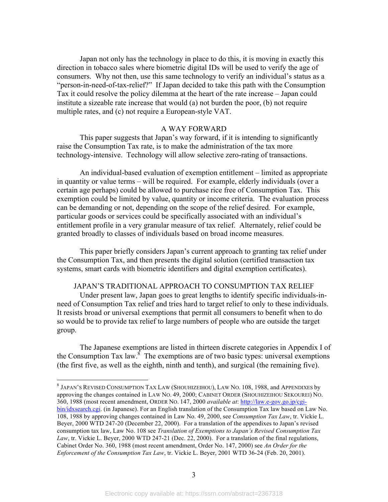Japan not only has the technology in place to do this, it is moving in exactly this direction in tobacco sales where biometric digital IDs will be used to verify the age of consumers. Why not then, use this same technology to verify an individual's status as a "person-in-need-of-tax-relief?" If Japan decided to take this path with the Consumption Tax it could resolve the policy dilemma at the heart of the rate increase – Japan could institute a sizeable rate increase that would (a) not burden the poor, (b) not require multiple rates, and (c) not require a European-style VAT.

#### A WAY FORWARD

This paper suggests that Japan's way forward, if it is intending to significantly raise the Consumption Tax rate, is to make the administration of the tax more technology-intensive. Technology will allow selective zero-rating of transactions.

An individual-based evaluation of exemption entitlement – limited as appropriate in quantity or value terms – will be required. For example, elderly individuals (over a certain age perhaps) could be allowed to purchase rice free of Consumption Tax. This exemption could be limited by value, quantity or income criteria. The evaluation process can be demanding or not, depending on the scope of the relief desired. For example, particular goods or services could be specifically associated with an individual's entitlement profile in a very granular measure of tax relief. Alternately, relief could be granted broadly to classes of individuals based on broad income measures.

This paper briefly considers Japan's current approach to granting tax relief under the Consumption Tax, and then presents the digital solution (certified transaction tax systems, smart cards with biometric identifiers and digital exemption certificates).

### JAPAN'S TRADITIONAL APPROACH TO CONSUMPTION TAX RELIEF

Under present law, Japan goes to great lengths to identify specific individuals-inneed of Consumption Tax relief and tries hard to target relief to only to these individuals. It resists broad or universal exemptions that permit all consumers to benefit when to do so would be to provide tax relief to large numbers of people who are outside the target group.

The Japanese exemptions are listed in thirteen discrete categories in Appendix I of the Consumption Tax law.<sup>8</sup> The exemptions are of two basic types: universal exemptions (the first five, as well as the eighth, ninth and tenth), and surgical (the remaining five).

 <sup>8</sup> JAPAN'S REVISED CONSUMPTION TAX LAW (SHOUHIZEIHOU), LAW NO. 108, 1988, and APPENDIXES by approving the changes contained in LAW NO. 49, 2000; CABINET ORDER (SHOUHIZEIHOU SEKOUREI) NO. 360, 1988 (most recent amendment, ORDER NO. 147, 2000 *available at*: http://law.e-gov.go.jp/cgibin/idxsearch.cgi. (in Japanese). For an English translation of the Consumption Tax law based on Law No. 108, 1988 by approving changes contained in Law No. 49, 2000, see *Consumption Tax Law*, tr. Vickie L. Beyer, 2000 WTD 247-20 (December 22, 2000). For a translation of the appendixes to Japan's revised consumption tax law, Law No. 108 see *Translation of Exemptions to Japan's Revised Consumption Tax Law*, tr. Vickie L. Beyer, 2000 WTD 247-21 (Dec. 22, 2000). For a translation of the final regulations, Cabinet Order No. 360, 1988 (most recent amendment, Order No. 147, 2000) see *An Order for the Enforcement of the Consumption Tax Law*, tr. Vickie L. Beyer, 2001 WTD 36-24 (Feb. 20, 2001).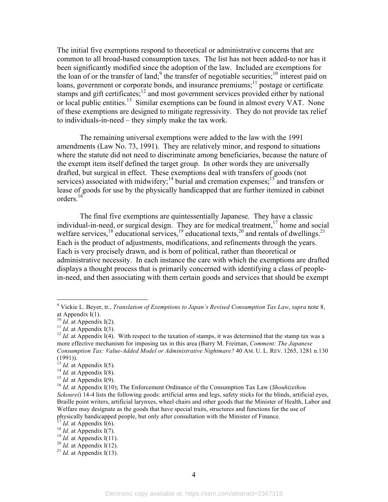The initial five exemptions respond to theoretical or administrative concerns that are common to all broad-based consumption taxes. The list has not been added-to nor has it been significantly modified since the adoption of the law. Included are exemptions for the loan of or the transfer of land;<sup>9</sup> the transfer of negotiable securities;<sup>10</sup> interest paid on loans, government or corporate bonds, and insurance premiums;<sup>11</sup> postage or certificate stamps and gift certificates;<sup>12</sup> and most government services provided either by national or local public entities.<sup>13</sup> Similar exemptions can be found in almost every VAT. None of these exemptions are designed to mitigate regressivity. They do not provide tax relief to individuals-in-need – they simply make the tax work.

The remaining universal exemptions were added to the law with the 1991 amendments (Law No. 73, 1991). They are relatively minor, and respond to situations where the statute did not need to discriminate among beneficiaries, because the nature of the exempt item itself defined the target group. In other words they are universally drafted, but surgical in effect. These exemptions deal with transfers of goods (not services) associated with midwifery;<sup>14</sup> burial and cremation expenses;<sup>15</sup> and transfers or lease of goods for use by the physically handicapped that are further itemized in cabinet orders $16$ 

The final five exemptions are quintessentially Japanese. They have a classic individual-in-need, or surgical design. They are for medical treatment,<sup>17</sup> home and social welfare services, $^{18}$  educational services, $^{19}$  educational texts, $^{20}$  and rentals of dwellings.<sup>21</sup> Each is the product of adjustments, modifications, and refinements through the years. Each is very precisely drawn, and is born of political, rather than theoretical or administrative necessity. In each instance the care with which the exemptions are drafted displays a thought process that is primarily concerned with identifying a class of peoplein-need, and then associating with them certain goods and services that should be exempt

<sup>-&</sup>lt;br>9 Vickie L. Beyer, tr., *Translation of Exemptions to Japan's Revised Consumption Tax Law*, *supra* note 8, at Appendix I(1).<br><sup>10</sup> *Id.* at Appendix I(2).<br><sup>11</sup> *Id.* at Appendix I(3).

<sup>&</sup>lt;sup>12</sup> *Id.* at Appendix  $I(4)$ . With respect to the taxation of stamps, it was determined that the stamp tax was a more effective mechanism for imposing tax in this area (Barry M. Freiman, *Comment: The Japanese Consumption Tax: Value-Added Model or Administrative Nightmare?* 40 AM. U. L. REV. 1265, 1281 n.130 (1991)).<br><sup>13</sup> *Id.* at Appendix I(5).

<sup>14</sup> *Id.* at Appendix I(8).<br><sup>14</sup> *Id.* at Appendix I(8).<br><sup>15</sup> *Id.* at Appendix I(10); The Enforcement Ordinance of the Consumption Tax Law (*Shouhizeihou* <sup>16</sup> *Id.* at Appendix I(10); The Enforcement Ordinance of the Cons *Sekourei*) 14-4 lists the following goods: artificial arms and legs, safety sticks for the blinds, artificial eyes, Braille point writers, artificial larynxes, wheel chairs and other goods that the Minister of Health, Labor and Welfare may designate as the goods that have special traits, structures and functions for the use of physically handicapped people, but only after consultation with the Minister of Finance.

<sup>&</sup>lt;sup>17</sup> *Id.* at Appendix I(6).<br><sup>18</sup> *Id.* at Appendix I(7).<br><sup>19</sup> *Id.* at Appendix I(11).<br><sup>20</sup> *Id.* at Appendix I(13).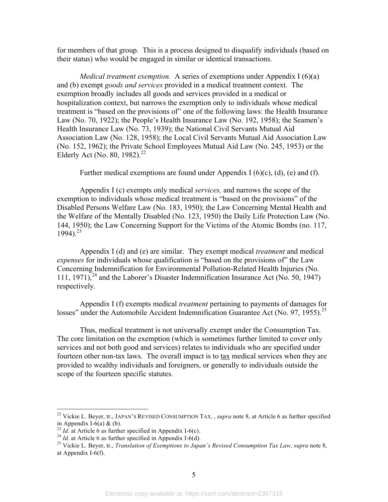for members of that group. This is a process designed to disqualify individuals (based on their status) who would be engaged in similar or identical transactions.

*Medical treatment exemption.* A series of exemptions under Appendix I (6)(a) and (b) exempt *goods and services* provided in a medical treatment context. The exemption broadly includes all goods and services provided in a medical or hospitalization context, but narrows the exemption only to individuals whose medical treatment is "based on the provisions of" one of the following laws: the Health Insurance Law (No. 70, 1922); the People's Health Insurance Law (No. 192, 1958); the Seamen's Health Insurance Law (No. 73, 1939); the National Civil Servants Mutual Aid Association Law (No. 128, 1958); the Local Civil Servants Mutual Aid Association Law (No. 152, 1962); the Private School Employees Mutual Aid Law (No. 245, 1953) or the Elderly Act (No. 80, 1982).<sup>22</sup>

Further medical exemptions are found under Appendix I  $(6)(c)$ , (d), (e) and (f).

Appendix I (c) exempts only medical *services,* and narrows the scope of the exemption to individuals whose medical treatment is "based on the provisions" of the Disabled Persons Welfare Law (No. 183, 1950); the Law Concerning Mental Health and the Welfare of the Mentally Disabled (No. 123, 1950) the Daily Life Protection Law (No. 144, 1950); the Law Concerning Support for the Victims of the Atomic Bombs (no. 117, 1994).<sup>23</sup>

Appendix I (d) and (e) are similar. They exempt medical *treatment* and medical *expenses* for individuals whose qualification is "based on the provisions of" the Law Concerning Indemnification for Environmental Pollution-Related Health Injuries (No. 111, 1971),<sup>24</sup> and the Laborer's Disaster Indemnification Insurance Act (No. 50, 1947) respectively.

Appendix I (f) exempts medical *treatment* pertaining to payments of damages for losses" under the Automobile Accident Indemnification Guarantee Act (No. 97, 1955).<sup>25</sup>

Thus, medical treatment is not universally exempt under the Consumption Tax. The core limitation on the exemption (which is sometimes further limited to cover only services and not both good and services) relates to individuals who are specified under fourteen other non-tax laws. The overall impact is to tax medical services when they are provided to wealthy individuals and foreigners, or generally to individuals outside the scope of the fourteen specific statutes.

<sup>&</sup>lt;sup>22</sup> Vickie L. Beyer, tr., JAPAN'S REVISED CONSUMPTION TAX, , *supra* note 8, at Article 6 as further specified in Appendix I-6(a) & (b).

<sup>&</sup>lt;sup>23</sup> *Id.* at Article 6 as further specified in Appendix I-6(c).<br>
<sup>24</sup> *Id.* at Article 6 as further specified in Appendix I-6(d).<br>
<sup>24</sup> *Id.* at Article 6 as further specified in Appendix I-6(d).<br>
<sup>25</sup> Vickie L. Bever, t at Appendix I-6(f).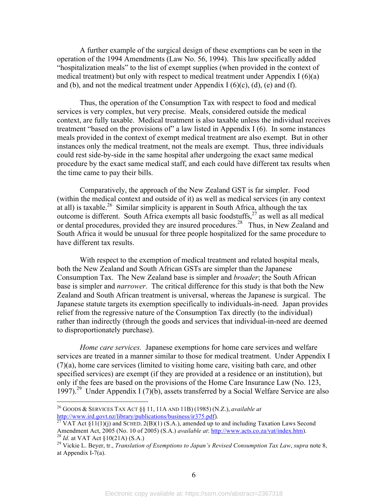A further example of the surgical design of these exemptions can be seen in the operation of the 1994 Amendments (Law No. 56, 1994). This law specifically added "hospitalization meals" to the list of exempt supplies (when provided in the context of medical treatment) but only with respect to medical treatment under Appendix I  $(6)(a)$ and (b), and not the medical treatment under Appendix I (6)(c), (d), (e) and (f).

Thus, the operation of the Consumption Tax with respect to food and medical services is very complex, but very precise. Meals, considered outside the medical context, are fully taxable. Medical treatment is also taxable unless the individual receives treatment "based on the provisions of" a law listed in Appendix I  $(6)$ . In some instances meals provided in the context of exempt medical treatment are also exempt. But in other instances only the medical treatment, not the meals are exempt. Thus, three individuals could rest side-by-side in the same hospital after undergoing the exact same medical procedure by the exact same medical staff, and each could have different tax results when the time came to pay their bills.

Comparatively, the approach of the New Zealand GST is far simpler. Food (within the medical context and outside of it) as well as medical services (in any context at all) is taxable.<sup>26</sup> Similar simplicity is apparent in South Africa, although the tax outcome is different. South Africa exempts all basic foodstuffs,  $2^{7}$  as well as all medical or dental procedures, provided they are insured procedures.<sup>28</sup> Thus, in New Zealand and South Africa it would be unusual for three people hospitalized for the same procedure to have different tax results.

With respect to the exemption of medical treatment and related hospital meals, both the New Zealand and South African GSTs are simpler than the Japanese Consumption Tax. The New Zealand base is simpler and *broader*; the South African base is simpler and *narrower*. The critical difference for this study is that both the New Zealand and South African treatment is universal, whereas the Japanese is surgical. The Japanese statute targets its exemption specifically to individuals-in-need. Japan provides relief from the regressive nature of the Consumption Tax directly (to the individual) rather than indirectly (through the goods and services that individual-in-need are deemed to disproportionately purchase).

*Home care services.* Japanese exemptions for home care services and welfare services are treated in a manner similar to those for medical treatment. Under Appendix I (7)(a), home care services (limited to visiting home care, visiting bath care, and other specified services) are exempt (if they are provided at a residence or an institution), but only if the fees are based on the provisions of the Home Care Insurance Law (No. 123, 1997).<sup>29</sup> Under Appendix I (7)(b), assets transferred by a Social Welfare Service are also

<sup>&</sup>lt;sup>26</sup> GOODS & SERVICES TAX ACT §§ 11, 11A AND 11B) (1985) (N.Z.), *available at* http://www.ird.govt.nz/library/publications/business/ir375.pdf).

 $\frac{1}{27}$  VAT Act §11(1)(j) and SCHED. 2(B)(1) (S.A.), amended up to and including Taxation Laws Second Amendment Act, 2005 (No. 10 of 2005) (S.A.) *available at:*  $\frac{h t t p$ ://www.acts.co.za/vat/index.htm).<br><sup>28</sup> *Id.* at VAT Act §10(21A) (S.A.)<br><sup>29</sup> Vickie L. Beyer, tr., *Translation of Exemptions to Japan's Revised Consump* 

at Appendix I-7(a).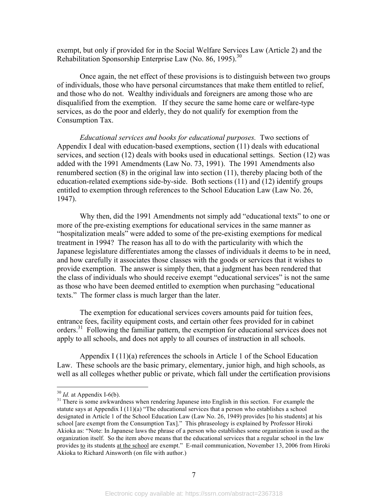exempt, but only if provided for in the Social Welfare Services Law (Article 2) and the Rehabilitation Sponsorship Enterprise Law (No. 86, 1995).<sup>30</sup>

Once again, the net effect of these provisions is to distinguish between two groups of individuals, those who have personal circumstances that make them entitled to relief, and those who do not. Wealthy individuals and foreigners are among those who are disqualified from the exemption. If they secure the same home care or welfare-type services, as do the poor and elderly, they do not qualify for exemption from the Consumption Tax.

*Educational services and books for educational purposes.* Two sections of Appendix I deal with education-based exemptions, section (11) deals with educational services, and section (12) deals with books used in educational settings. Section (12) was added with the 1991 Amendments (Law No. 73, 1991). The 1991 Amendments also renumbered section (8) in the original law into section (11), thereby placing both of the education-related exemptions side-by-side. Both sections (11) and (12) identify groups entitled to exemption through references to the School Education Law (Law No. 26, 1947).

Why then, did the 1991 Amendments not simply add "educational texts" to one or more of the pre-existing exemptions for educational services in the same manner as "hospitalization meals" were added to some of the pre-existing exemptions for medical treatment in 1994? The reason has all to do with the particularity with which the Japanese legislature differentiates among the classes of individuals it deems to be in need, and how carefully it associates those classes with the goods or services that it wishes to provide exemption. The answer is simply then, that a judgment has been rendered that the class of individuals who should receive exempt "educational services" is not the same as those who have been deemed entitled to exemption when purchasing "educational texts." The former class is much larger than the later.

The exemption for educational services covers amounts paid for tuition fees, entrance fees, facility equipment costs, and certain other fees provided for in cabinet orders.<sup>31</sup> Following the familiar pattern, the exemption for educational services does not apply to all schools, and does not apply to all courses of instruction in all schools.

Appendix I (11)(a) references the schools in Article 1 of the School Education Law. These schools are the basic primary, elementary, junior high, and high schools, as well as all colleges whether public or private, which fall under the certification provisions

<sup>&</sup>lt;sup>30</sup> *Id.* at Appendix I-6(b).<br><sup>31</sup> There is some awkwardness when rendering Japanese into English in this section. For example the statute says at Appendix I (11)(a) "The educational services that a person who establishes a school designated in Article 1 of the School Education Law (Law No. 26, 1949) provides [to his students] at his school [are exempt from the Consumption Tax]." This phraseology is explained by Professor Hiroki Akioka as: "Note: In Japanese laws the phrase of a person who establishes some organization is used as the organization itself. So the item above means that the educational services that a regular school in the law provides to its students at the school are exempt." E-mail communication, November 13, 2006 from Hiroki Akioka to Richard Ainsworth (on file with author.)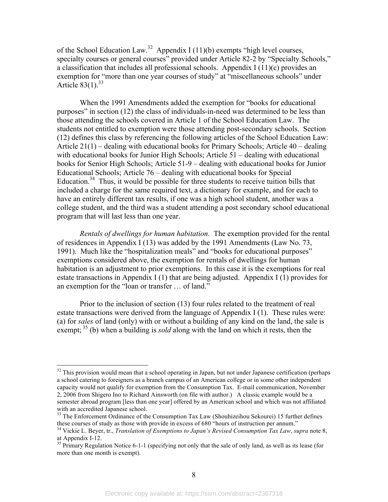of the School Education Law.<sup>32</sup> Appendix I (11)(b) exempts "high level courses, specialty courses or general courses" provided under Article 82-2 by "Specialty Schools," a classification that includes all professional schools. Appendix I (11)(c) provides an exemption for "more than one year courses of study" at "miscellaneous schools" under Article  $83(1)^{33}$ 

When the 1991 Amendments added the exemption for "books for educational purposes" in section (12) the class of individuals-in-need was determined to be less than those attending the schools covered in Article 1 of the School Education Law. The students not entitled to exemption were those attending post-secondary schools. Section (12) defines this class by referencing the following articles of the School Education Law: Article 21(1) – dealing with educational books for Primary Schools; Article 40 – dealing with educational books for Junior High Schools; Article 51 – dealing with educational books for Senior High Schools; Article 51-9 – dealing with educational books for Junior Educational Schools; Article 76 – dealing with educational books for Special Education.<sup>34</sup> Thus, it would be possible for three students to receive tuition bills that included a charge for the same required text, a dictionary for example, and for each to have an entirely different tax results, if one was a high school student, another was a college student, and the third was a student attending a post secondary school educational program that will last less than one year.

*Rentals of dwellings for human habitation.* The exemption provided for the rental of residences in Appendix I (13) was added by the 1991 Amendments (Law No. 73, 1991). Much like the "hospitalization meals" and "books for educational purposes" exemptions considered above, the exemption for rentals of dwellings for human habitation is an adjustment to prior exemptions. In this case it is the exemptions for real estate transactions in Appendix I (1) that are being adjusted. Appendix I (1) provides for an exemption for the "loan or transfer … of land."

Prior to the inclusion of section (13) four rules related to the treatment of real estate transactions were derived from the language of Appendix I (1). These rules were: (a) for *sales* of land (only) with or without a building of any kind on the land, the sale is exempt; <sup>35</sup> (b) when a building is *sold* along with the land on which it rests, then the

<sup>&</sup>lt;sup>32</sup> This provision would mean that a school operating in Japan, but not under Japanese certification (perhaps a school catering to foreigners as a branch campus of an American college or in some other independent capacity would not qualify for exemption from the Consumption Tax. E-mail communication, November 2, 2006 from Shigero Ino to Richard Ainsworth (on file with author.) A classic example would be a semester abroad program [less than one year] offered by an American school and which was not affiliated with an accredited Japanese school.

 $33$  The Enforcement Ordinance of the Consumption Tax Law (Shouhizeihou Sekourei) 15 further defines these courses of study as those with provide in excess of 680 "hours of instruction per annum."

<sup>34</sup> Vickie L. Beyer, tr., *Translation of Exemptions to Japan's Revised Consumption Tax Law*, *supra* note 8, at Appendix I-12.<br><sup>35</sup> Primary Regulation Notice 6-1-1 (specifying not only that the sale of only land, as well as its lease (for

more than one month is exempt).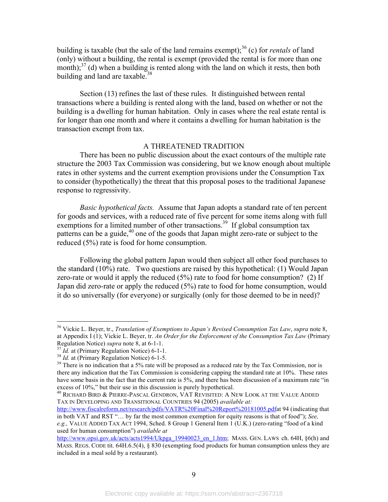building is taxable (but the sale of the land remains exempt);<sup>36</sup> (c) for *rentals* of land (only) without a building, the rental is exempt (provided the rental is for more than one month); $^{37}$  (d) when a building is rented along with the land on which it rests, then both building and land are taxable. $3$ 

Section (13) refines the last of these rules. It distinguished between rental transactions where a building is rented along with the land, based on whether or not the building is a dwelling for human habitation. Only in cases where the real estate rental is for longer than one month and where it contains a dwelling for human habitation is the transaction exempt from tax.

## A THREATENED TRADITION

There has been no public discussion about the exact contours of the multiple rate structure the 2003 Tax Commission was considering, but we know enough about multiple rates in other systems and the current exemption provisions under the Consumption Tax to consider (hypothetically) the threat that this proposal poses to the traditional Japanese response to regressivity.

*Basic hypothetical facts.* Assume that Japan adopts a standard rate of ten percent for goods and services, with a reduced rate of five percent for some items along with full exemptions for a limited number of other transactions.<sup>39</sup> If global consumption tax patterns can be a guide,<sup>40</sup> one of the goods that Japan might zero-rate or subject to the reduced (5%) rate is food for home consumption.

Following the global pattern Japan would then subject all other food purchases to the standard (10%) rate. Two questions are raised by this hypothetical: (1) Would Japan zero-rate or would it apply the reduced (5%) rate to food for home consumption? (2) If Japan did zero-rate or apply the reduced (5%) rate to food for home consumption, would it do so universally (for everyone) or surgically (only for those deemed to be in need)?

40 RICHARD BIRD & PIERRE-PASCAL GENDRON, VAT REVISITED: A NEW LOOK AT THE VALUE ADDED TAX IN DEVELOPING AND TRANSITIONAL COUNTRIES 94 (2005) *available at:*

 <sup>36</sup> Vickie L. Beyer, tr., *Translation of Exemptions to Japan's Revised Consumption Tax Law*, *supra* note 8, at Appendix I (1); Vickie L. Beyer, tr. *An Order for the Enforcement of the Consumption Tax Law* (Primary

Regulation Notice) *supra* note 8, at 6-1-1.<br>
<sup>37</sup> *Id.* at (Primary Regulation Notice) 6-1-1.<br>
<sup>38</sup> *Id.* at (Primary Regulation Notice) 6-1-5.<br>
<sup>39</sup> There is no indication that a 5% rate will be proposed as a reduced ra there any indication that the Tax Commission is considering capping the standard rate at 10%. These rates have some basis in the fact that the current rate is 5%, and there has been discussion of a maximum rate "in excess of 10%," but their use in this discussion is purely hypothetical.

http://www.fiscalreform.net/research/pdfs/VATR%20Final%20Report%20181005.pdfat 94 (indicating that in both VAT and RST "… by far the most common exemption for equity reasons is that of food"); *See, e.g.,* VALUE ADDED TAX ACT 1994, Sched. 8 Group 1 General Item 1 (U.K.) (zero-rating "food of a kind used for human consumption") *available at*

http://www.opsi.gov.uk/acts/acts1994/Ukpga\_19940023\_en\_1.htm; MASS. GEN. LAWS ch. 64H, §6(h) and MASS. REGS. CODE tit. 64H.6.5(4), § 830 (exempting food products for human consumption unless they are included in a meal sold by a restaurant).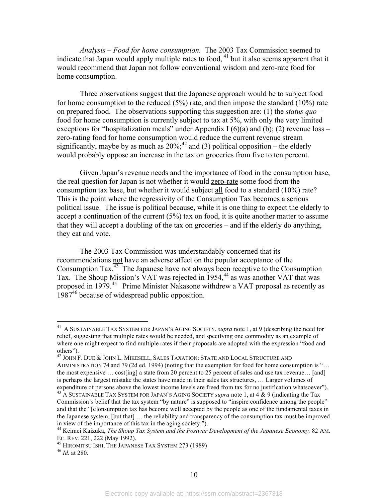*Analysis – Food for home consumption.* The 2003 Tax Commission seemed to indicate that Japan would apply multiple rates to food, 41 but it also seems apparent that it would recommend that Japan not follow conventional wisdom and zero-rate food for home consumption.

Three observations suggest that the Japanese approach would be to subject food for home consumption to the reduced  $(5%)$  rate, and then impose the standard  $(10%)$  rate on prepared food. The observations supporting this suggestion are: (1) the *status quo –* food for home consumption is currently subject to tax at 5%, with only the very limited exceptions for "hospitalization meals" under Appendix I  $(6)(a)$  and  $(b)$ ;  $(2)$  revenue loss – zero-rating food for home consumption would reduce the current revenue stream significantly, maybe by as much as  $20\%$ ;<sup>42</sup> and (3) political opposition – the elderly would probably oppose an increase in the tax on groceries from five to ten percent.

Given Japan's revenue needs and the importance of food in the consumption base, the real question for Japan is not whether it would zero-rate some food from the consumption tax base, but whether it would subject all food to a standard (10%) rate? This is the point where the regressivity of the Consumption Tax becomes a serious political issue. The issue is political because, while it is one thing to expect the elderly to accept a continuation of the current (5%) tax on food, it is quite another matter to assume that they will accept a doubling of the tax on groceries – and if the elderly do anything, they eat and vote.

The 2003 Tax Commission was understandably concerned that its recommendations not have an adverse affect on the popular acceptance of the Consumption  $\text{Tax.}^{\frac{43}{43}}$  The Japanese have not always been receptive to the Consumption Tax. The Shoup Mission's VAT was rejected in 1954,<sup>44</sup> as was another VAT that was proposed in 1979.<sup>45</sup> Prime Minister Nakasone withdrew a VAT proposal as recently as  $1987^{46}$  because of widespread public opposition.

 <sup>41</sup> <sup>A</sup> SUSTAINABLE TAX SYSTEM FOR JAPAN'S AGING SOCIETY, *supra* note 1, at 9 (describing the need for relief, suggesting that multiple rates would be needed, and specifying one commodity as an example of where one might expect to find multiple rates if their proposals are adopted with the expression "food and others").

<sup>&</sup>lt;sup>42</sup> JOHN F. DUE & JOHN L. MIKESELL, SALES TAXATION: STATE AND LOCAL STRUCTURE AND

ADMINISTRATION 74 and 79 (2d ed. 1994) (noting that the exemption for food for home consumption is "… the most expensive … cost[ing] a state from 20 percent to 25 percent of sales and use tax revenue… [and] is perhaps the largest mistake the states have made in their sales tax structures, ... Larger volumes of expenditure of persons above the lowest income levels are freed from tax for no justification whatsoever").

<sup>&</sup>lt;sup>43</sup> A SUSTAINABLE TAX SYSTEM FOR JAPAN'S AGING SOCIETY *supra* note 1, at 4 & 9 (indicating the Tax Commission's belief that the tax system "by nature" is supposed to "inspire confidence among the people" and that the "[c]onsumption tax has become well accepted by the people as one of the fundamental taxes in the Japanese system, [but that] … the reliability and transparency of the consumption tax must be improved

in view of the importance of this tax in the aging society.").<br><sup>44</sup> Keimei Kaizuka, *The Shoup Tax System and the Postwar Development of the Japanese Economy*, 82 AM.<br>EC. REV. 221, 222 (May 1992).

<sup>&</sup>lt;sup>45</sup> HIROMITSU ISHI, THE JAPANESE TAX SYSTEM 273 (1989)<sup>46</sup> *Id.* at 280.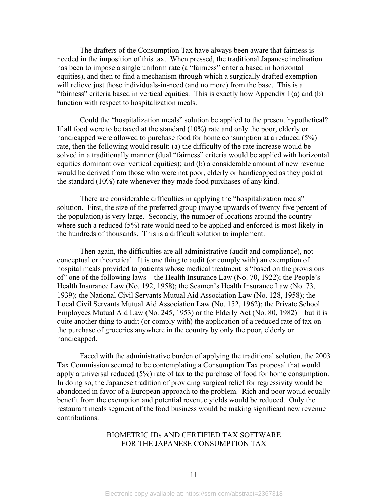The drafters of the Consumption Tax have always been aware that fairness is needed in the imposition of this tax. When pressed, the traditional Japanese inclination has been to impose a single uniform rate (a "fairness" criteria based in horizontal equities), and then to find a mechanism through which a surgically drafted exemption will relieve just those individuals-in-need (and no more) from the base. This is a "fairness" criteria based in vertical equities. This is exactly how Appendix I (a) and (b) function with respect to hospitalization meals.

Could the "hospitalization meals" solution be applied to the present hypothetical? If all food were to be taxed at the standard (10%) rate and only the poor, elderly or handicapped were allowed to purchase food for home consumption at a reduced (5%) rate, then the following would result: (a) the difficulty of the rate increase would be solved in a traditionally manner (dual "fairness" criteria would be applied with horizontal equities dominant over vertical equities); and (b) a considerable amount of new revenue would be derived from those who were not poor, elderly or handicapped as they paid at the standard (10%) rate whenever they made food purchases of any kind.

There are considerable difficulties in applying the "hospitalization meals" solution. First, the size of the preferred group (maybe upwards of twenty-five percent of the population) is very large. Secondly, the number of locations around the country where such a reduced (5%) rate would need to be applied and enforced is most likely in the hundreds of thousands. This is a difficult solution to implement.

Then again, the difficulties are all administrative (audit and compliance), not conceptual or theoretical. It is one thing to audit (or comply with) an exemption of hospital meals provided to patients whose medical treatment is "based on the provisions of" one of the following laws – the Health Insurance Law (No. 70, 1922); the People's Health Insurance Law (No. 192, 1958); the Seamen's Health Insurance Law (No. 73, 1939); the National Civil Servants Mutual Aid Association Law (No. 128, 1958); the Local Civil Servants Mutual Aid Association Law (No. 152, 1962); the Private School Employees Mutual Aid Law (No. 245, 1953) or the Elderly Act (No. 80, 1982) – but it is quite another thing to audit (or comply with) the application of a reduced rate of tax on the purchase of groceries anywhere in the country by only the poor, elderly or handicapped.

Faced with the administrative burden of applying the traditional solution, the 2003 Tax Commission seemed to be contemplating a Consumption Tax proposal that would apply a universal reduced (5%) rate of tax to the purchase of food for home consumption. In doing so, the Japanese tradition of providing surgical relief for regressivity would be abandoned in favor of a European approach to the problem. Rich and poor would equally benefit from the exemption and potential revenue yields would be reduced. Only the restaurant meals segment of the food business would be making significant new revenue contributions.

### BIOMETRIC IDs AND CERTIFIED TAX SOFTWARE FOR THE JAPANESE CONSUMPTION TAX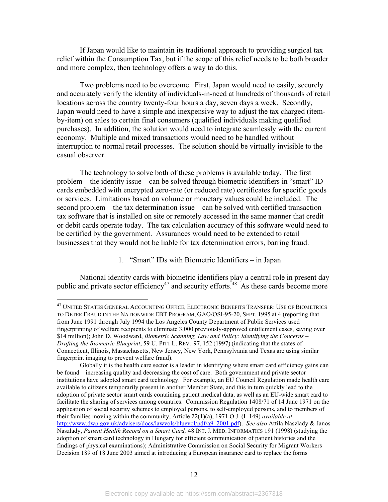If Japan would like to maintain its traditional approach to providing surgical tax relief within the Consumption Tax, but if the scope of this relief needs to be both broader and more complex, then technology offers a way to do this.

Two problems need to be overcome. First, Japan would need to easily, securely and accurately verify the identity of individuals-in-need at hundreds of thousands of retail locations across the country twenty-four hours a day, seven days a week. Secondly, Japan would need to have a simple and inexpensive way to adjust the tax charged (itemby-item) on sales to certain final consumers (qualified individuals making qualified purchases). In addition, the solution would need to integrate seamlessly with the current economy. Multiple and mixed transactions would need to be handled without interruption to normal retail processes. The solution should be virtually invisible to the casual observer.

The technology to solve both of these problems is available today. The first problem – the identity issue – can be solved through biometric identifiers in "smart" ID cards embedded with encrypted zero-rate (or reduced rate) certificates for specific goods or services. Limitations based on volume or monetary values could be included. The second problem – the tax determination issue – can be solved with certified transaction tax software that is installed on site or remotely accessed in the same manner that credit or debit cards operate today. The tax calculation accuracy of this software would need to be certified by the government. Assurances would need to be extended to retail businesses that they would not be liable for tax determination errors, barring fraud.

1. "Smart" IDs with Biometric Identifiers – in Japan

National identity cards with biometric identifiers play a central role in present day public and private sector efficiency<sup>47</sup> and security efforts.<sup>48</sup> As these cards become more

<sup>&</sup>lt;sup>47</sup> UNITED STATES GENERAL ACCOUNTING OFFICE, ELECTRONIC BENEFITS TRANSFER: USE OF BIOMETRICS TO DETER FRAUD IN THE NATIONWIDE EBT PROGRAM, GAO/OSI-95-20, SEPT. 1995 at 4 (reporting that from June 1991 through July 1994 the Los Angeles County Department of Public Services used fingerprinting of welfare recipients to eliminate 3,000 previously-approved entitlement cases, saving over \$14 million); John D. Woodward, *Biometric Scanning, Law and Policy: Identifying the Concerns – Drafting the Biometric Blueprint*, 59 U. PITT L. REV. 97, 152 (1997) (indicating that the states of Connecticut, Illinois, Massachusetts, New Jersey, New York, Pennsylvania and Texas are using similar fingerprint imaging to prevent welfare fraud).

Globally it is the health care sector is a leader in identifying where smart card efficiency gains can be found – increasing quality and decreasing the cost of care. Both government and private sector institutions have adopted smart card technology. For example, an EU Council Regulation made health care available to citizens temporarily present in another Member State, and this in turn quickly lead to the adoption of private sector smart cards containing patient medical data, as well as an EU-wide smart card to facilitate the sharing of services among countries. Commission Regulation 1408/71 of 14 June 1971 on the application of social security schemes to employed persons, to self-employed persons, and to members of their families moving within the community, Article 22(1)(a), 1971 O.J. (L 149) *available at*  http://www.dwp.gov.uk/advisers/docs/lawvols/bluevol/pdf/a9\_2001.pdf). *See also* Attila Naszlady & Janos Naszlady, *Patient Health Record on a Smart Card,* 48 INT. J. MED. INFORMATICS 191 (1998) (studying the adoption of smart card technology in Hungary for efficient communication of patient histories and the findings of physical examinations); Administrative Commission on Social Security for Migrant Workers Decision 189 of 18 June 2003 aimed at introducing a European insurance card to replace the forms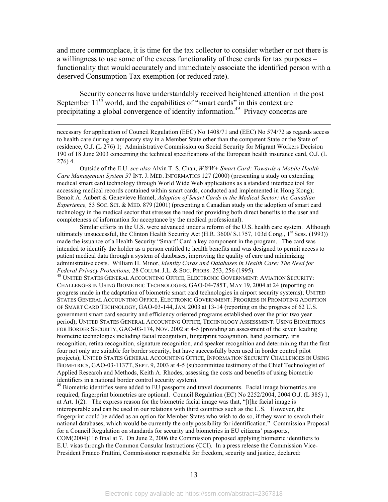and more commonplace, it is time for the tax collector to consider whether or not there is a willingness to use some of the excess functionality of these cards for tax purposes – functionality that would accurately and immediately associate the identified person with a deserved Consumption Tax exemption (or reduced rate).

Security concerns have understandably received heightened attention in the post September  $11<sup>th</sup>$  world, and the capabilities of "smart cards" in this context are precipitating a global convergence of identity information.<sup>49</sup> Privacy concerns are

 $\overline{a}$ 

necessary for application of Council Regulation (EEC) No 1408/71 and (EEC) No 574/72 as regards access to health care during a temporary stay in a Member State other than the competent State or the State of residence, O.J. (L 276) 1; Administrative Commission on Social Security for Migrant Workers Decision 190 of 18 June 2003 concerning the technical specifications of the European health insurance card, O.J. (L 276) 4.

Outside of the E.U. *see also* Alvin T. S. Chan, *WWW+ Smart Card: Towards a Mobile Health Care Management System* 57 INT. J. MED. INFORMATICS 127 (2000) (presenting a study on extending medical smart card technology through World Wide Web applications as a standard interface tool for accessing medical records contained within smart cards, conducted and implemented in Hong Kong); Benoit A. Aubert & Genevieve Hamel, *Adoption of Smart Cards in the Medical Sector: the Canadian Experience,* 53 SOC. SCI. & MED. 879 (2001) (presenting a Canadian study on the adoption of smart card technology in the medical sector that stresses the need for providing both direct benefits to the user and completeness of information for acceptance by the medical professional).

Similar efforts in the U.S. were advanced under a reform of the U.S. health care system. Although ultimately unsuccessful, the Clinton Health Security Act (H.R. 3600/ S.1757, 103d Cong.,  $1<sup>st</sup>$  Sess. (1993)) made the issuance of a Health Security "Smart" Card a key component in the program. The card was intended to identify the holder as a person entitled to health benefits and was designed to permit access to patient medical data through a system of databases, improving the quality of care and minimizing administrative costs. William H. Minor, *Identity Cards and Databases in Health Care: The Need for Federal Privacy Protections,* 28 COLUM. J.L. & SOC. PROBS. 253, 256 (1995).<br><sup>48</sup> UNITED STATES GENERAL ACCOUNTING OFFICE, ELECTRONIC GOVERNMENT: AVIATION SECURITY:

CHALLENGES IN USING BIOMETRIC TECHNOLOGIES, GAO-04-785T, MAY 19, 2004 at 24 (reporting on progress made in the adaptation of biometric smart card technologies in airport security systems); UNITED STATES GENERAL ACCOUNTING OFFICE, ELECTRONIC GOVERNMENT: PROGRESS IN PROMOTING ADOPTION OF SMART CARD TECHNOLOGY, GAO-03-144, JAN. 2003 at 13-14 (reporting on the progress of 62 U.S. government smart card security and efficiency oriented programs established over the prior two year period); UNITED STATES GENERAL ACCOUNTING OFFICE, TECHNOLOGY ASSESSMENT: USING BIOMETRICS FOR BORDER SECURITY, GAO-03-174, NOV. 2002 at 4-5 (providing an assessment of the seven leading biometric technologies including facial recognition, fingerprint recognition, hand geometry, iris recognition, retina recognition, signature recognition, and speaker recognition and determining that the first four not only are suitable for border security, but have successfully been used in border control pilot projects); UNITED STATES GENERAL ACCOUNTING OFFICE, INFORMATION SECURITY CHALLENGES IN USING BIOMETRICS, GAO-03-1137T, SEPT. 9, 2003 at 4-5 (subcommittee testimony of the Chief Technologist of Applied Research and Methods, Keith A. Rhodes, assessing the costs and benefits of using biometric identifiers in a national border control security system).<br><sup>49</sup> Biometric identifies were added to EU passports and travel documents. Facial image biometrics are

required, fingerprint biometrics are optional. Council Regulation (EC) No 2252/2004, 2004 O.J. (L 385) 1, at Art.  $1(2)$ . The express reason for the biometric facial image was that, "[t]he facial image is interoperable and can be used in our relations with third countries such as the U.S. However, the fingerprint could be added as an option for Member States who wish to do so, if they want to search their national databases, which would be currently the only possibility for identification." Commission Proposal for a Council Regulation on standards for security and biometrics in EU citizens' passports, COM(2004)116 final at 7. On June 2, 2006 the Commission proposed applying biometric identifiers to E.U. visas through the Common Consular Instructions (CCI). In a press release the Commission Vice-President Franco Frattini, Commissioner responsible for freedom, security and justice, declared: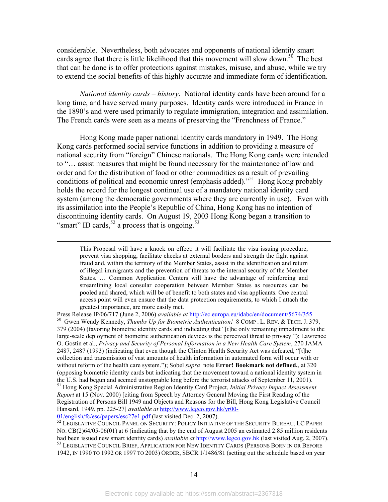considerable. Nevertheless, both advocates and opponents of national identity smart cards agree that there is little likelihood that this movement will slow down.<sup>50</sup> The best that can be done is to offer protections against mistakes, misuse, and abuse, while we try to extend the social benefits of this highly accurate and immediate form of identification.

*National identity cards – history*. National identity cards have been around for a long time, and have served many purposes. Identity cards were introduced in France in the 1890's and were used primarily to regulate immigration, integration and assimilation. The French cards were seen as a means of preserving the "Frenchness of France."

Hong Kong made paper national identity cards mandatory in 1949. The Hong Kong cards performed social service functions in addition to providing a measure of national security from "foreign" Chinese nationals. The Hong Kong cards were intended to "… assist measures that might be found necessary for the maintenance of law and order and for the distribution of food or other commodities as a result of prevailing conditions of political and economic unrest (emphasis added)."<sup>51</sup> Hong Kong probably holds the record for the longest continual use of a mandatory national identity card system (among the democratic governments where they are currently in use). Even with its assimilation into the People's Republic of China, Hong Kong has no intention of discontinuing identity cards. On August 19, 2003 Hong Kong began a transition to "smart" ID cards,<sup>52</sup> a process that is ongoing.<sup>53</sup>

This Proposal will have a knock on effect: it will facilitate the visa issuing procedure, prevent visa shopping, facilitate checks at external borders and strength the fight against fraud and, within the territory of the Member States, assist in the identification and return of illegal immigrants and the prevention of threats to the internal security of the Member States. … Common Application Centers will have the advantage of reinforcing and streamlining local consular cooperation between Member States as resources can be pooled and shared, which will be of benefit to both states and visa applicants. One central access point will even ensure that the data protection requirements, to which I attach the greatest importance, are more easily met.

Press Release IP/06/717 (June 2, 2006) *available at* http://ec.europa.eu/idabc/en/document/5674/355 50 Gwen Wendy Kennedy, *Thumbs Up for Biometric Authentication!* 8 COMP . L. REV. & TECH. J. 379, 379 (2004) (favoring biometric identity cards and indicating that "[t]he only remaining impediment to the large-scale deployment of biometric authentication devices is the perceived threat to privacy."); Lawrence O. Gostin et al., *Privacy and Security of Personal Information in a New Health Care System*, 270 JAMA 2487, 2487 (1993) (indicating that even though the Clinton Health Security Act was defeated, "[t]he collection and transmission of vast amounts of health information in automated form will occur with or without reform of the health care system."); Sobel *supra* note **Error! Bookmark not defined.**, at 320 (opposing biometric identity cards but indicating that the movement toward a national identity system in

the U.S. had begun and seemed unstoppable long before the terrorist attacks of September 11, 2001). 51 Hong Kong Special Administrative Region Identity Card Project, *Initial Privacy Impact Assessment Report* at 15 (Nov. 2000) [citing from Speech by Attorney General Moving the First Reading of the Registration of Persons Bill 1949 and Objects and Reasons for the Bill, Hong Kong Legislative Council Hansard, 1949, pp. 225-27] *available at* http://www.legco.gov.hk/yr00-01/english/fc/esc/papers/esc27e1.pdf (last visited Dec. 2, 2007).

 $\overline{a}$ 

<sup>52</sup> LEGISLATIVE COUNCIL PANEL ON SECURITY: POLICY INITIATIVE OF THE SECURITY BUREAU, LC PAPER No. CB(2)64/05-06(01) at 6 (indicating that by the end of August 2005 an estimated 2.85 million residents had been issued new smart identity cards) *available at* http://www.legco.gov.hk (last visited Aug. 2, 2007). <sup>53</sup> LEGISLATIVE COUNCIL BRIEF, APPLICATION FOR NEW IDENTITY CARDS (PERSONS BORN IN OR BEFORE 1942, IN 1990 TO 1992 OR 1997 TO 2003) ORDER, SBCR 1/1486/81 (setting out the schedule based on year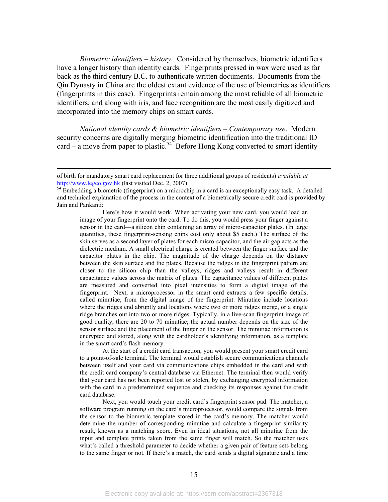*Biometric identifiers – history.* Considered by themselves, biometric identifiers have a longer history than identity cards. Fingerprints pressed in wax were used as far back as the third century B.C. to authenticate written documents. Documents from the Qin Dynasty in China are the oldest extant evidence of the use of biometrics as identifiers (fingerprints in this case). Fingerprints remain among the most reliable of all biometric identifiers, and along with iris, and face recognition are the most easily digitized and incorporated into the memory chips on smart cards.

*National identity cards & biometric identifiers – Contemporary use*. Modern security concerns are digitally merging biometric identification into the traditional ID card – a move from paper to plastic.<sup>54</sup> Before Hong Kong converted to smart identity

Here's how it would work. When activating your new card, you would load an image of your fingerprint onto the card. To do this, you would press your finger against a sensor in the card—a silicon chip containing an array of micro-capacitor plates. (In large quantities, these fingerprint-sensing chips cost only about \$5 each.) The surface of the skin serves as a second layer of plates for each micro-capacitor, and the air gap acts as the dielectric medium. A small electrical charge is created between the finger surface and the capacitor plates in the chip. The magnitude of the charge depends on the distance between the skin surface and the plates. Because the ridges in the fingerprint pattern are closer to the silicon chip than the valleys, ridges and valleys result in different capacitance values across the matrix of plates. The capacitance values of different plates are measured and converted into pixel intensities to form a digital image of the fingerprint. Next, a microprocessor in the smart card extracts a few specific details, called minutiae, from the digital image of the fingerprint. Minutiae include locations where the ridges end abruptly and locations where two or more ridges merge, or a single ridge branches out into two or more ridges. Typically, in a live-scan fingerprint image of good quality, there are 20 to 70 minutiae; the actual number depends on the size of the sensor surface and the placement of the finger on the sensor. The minutiae information is encrypted and stored, along with the cardholder's identifying information, as a template in the smart card's flash memory.

At the start of a credit card transaction, you would present your smart credit card to a point-of-sale terminal. The terminal would establish secure communications channels between itself and your card via communications chips embedded in the card and with the credit card company's central database via Ethernet. The terminal then would verify that your card has not been reported lost or stolen, by exchanging encrypted information with the card in a predetermined sequence and checking its responses against the credit card database.

Next, you would touch your credit card's fingerprint sensor pad. The matcher, a software program running on the card's microprocessor, would compare the signals from the sensor to the biometric template stored in the card's memory. The matcher would determine the number of corresponding minutiae and calculate a fingerprint similarity result, known as a matching score. Even in ideal situations, not all minutiae from the input and template prints taken from the same finger will match. So the matcher uses what's called a threshold parameter to decide whether a given pair of feature sets belong to the same finger or not. If there's a match, the card sends a digital signature and a time

of birth for mandatory smart card replacement for three additional groups of residents) *available at*  $\frac{http://www.lego.gov.hk}{54}$  Embedding a biometric (fingerprint) on a microchip in a card is an exceptionally easy task. A detailed

and technical explanation of the process in the context of a biometrically secure credit card is provided by Jain and Pankanti: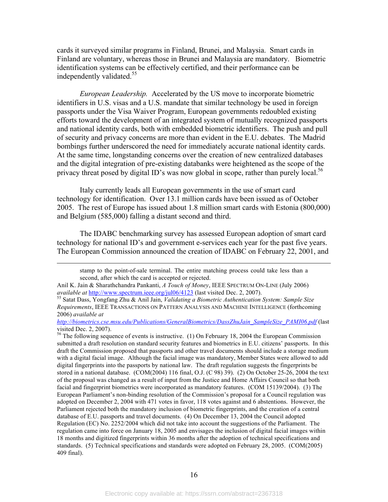cards it surveyed similar programs in Finland, Brunei, and Malaysia. Smart cards in Finland are voluntary, whereas those in Brunei and Malaysia are mandatory. Biometric identification systems can be effectively certified, and their performance can be independently validated.<sup>55</sup>

*European Leadership.* Accelerated by the US move to incorporate biometric identifiers in U.S. visas and a U.S. mandate that similar technology be used in foreign passports under the Visa Waiver Program, European governments redoubled existing efforts toward the development of an integrated system of mutually recognized passports and national identity cards, both with embedded biometric identifiers. The push and pull of security and privacy concerns are more than evident in the E.U. debates. The Madrid bombings further underscored the need for immediately accurate national identity cards. At the same time, longstanding concerns over the creation of new centralized databases and the digital integration of pre-existing databanks were heightened as the scope of the privacy threat posed by digital ID's was now global in scope, rather than purely local.<sup>56</sup>

Italy currently leads all European governments in the use of smart card technology for identification. Over 13.1 million cards have been issued as of October 2005. The rest of Europe has issued about 1.8 million smart cards with Estonia (800,000) and Belgium (585,000) falling a distant second and third.

The IDABC benchmarking survey has assessed European adoption of smart card technology for national ID's and government e-services each year for the past five years. The European Commission announced the creation of IDABC on February 22, 2001, and

stamp to the point-of-sale terminal. The entire matching process could take less than a second, after which the card is accepted or rejected.

Anil K. Jain & Sharathchandra Pankanti, *A Touch of Money*, IEEE SPECTRUM ON-LINE (July 2006) *available at* http://www.spectrum.ieee.org/jul06/4123 (last visited Dec. 2, 2007). 55 Satat Dass, Yongfang Zhu & Anil Jain, *Validating a Biometric Authentication System: Sample Size* 

*Requirements*, IEEE TRANSACTIONS ON PATTERN ANALYSIS AND MACHINE INTELLIGENCE (forthcoming 2006) *available at* 

*http://biometrics.cse.msu.edu/Publications/GeneralBiometrics/DassZhuJain\_SampleSize\_PAMI06.pdf* (last visited Dec. 2, 2007).

<sup>&</sup>lt;sup>56</sup> The following sequence of events is instructive. (1) On February 18, 2004 the European Commission submitted a draft resolution on standard security features and biometrics in E.U. citizens' passports. In this draft the Commission proposed that passports and other travel documents should include a storage medium with a digital facial image. Although the facial image was mandatory, Member States were allowed to add digital fingerprints into the passports by national law. The draft regulation suggests the fingerprints be stored in a national database. (COM(2004) 116 final, O.J. (C 98) 39). (2) On October 25-26, 2004 the text of the proposal was changed as a result of input from the Justice and Home Affairs Council so that both facial and fingerprint biometrics were incorporated as mandatory features. (COM 15139/2004). (3) The European Parliament's non-binding resolution of the Commission's proposal for a Council regulation was adopted on December 2, 2004 with 471 votes in favor, 118 votes against and 6 abstentions. However, the Parliament rejected both the mandatory inclusion of biometric fingerprints, and the creation of a central database of E.U. passports and travel documents. (4) On December 13, 2004 the Council adopted Regulation (EC) No. 2252/2004 which did not take into account the suggestions of the Parliament. The regulation came into force on January 18, 2005 and envisages the inclusion of digital facial images within 18 months and digitized fingerprints within 36 months after the adoption of technical specifications and standards. (5) Technical specifications and standards were adopted on February 28, 2005. (COM(2005) 409 final).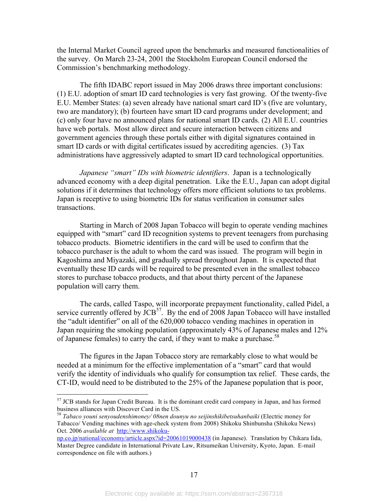the Internal Market Council agreed upon the benchmarks and measured functionalities of the survey. On March 23-24, 2001 the Stockholm European Council endorsed the Commission's benchmarking methodology.

The fifth IDABC report issued in May 2006 draws three important conclusions: (1) E.U. adoption of smart ID card technologies is very fast growing. Of the twenty-five E.U. Member States: (a) seven already have national smart card ID's (five are voluntary, two are mandatory); (b) fourteen have smart ID card programs under development; and (c) only four have no announced plans for national smart ID cards. (2) All E.U. countries have web portals. Most allow direct and secure interaction between citizens and government agencies through these portals either with digital signatures contained in smart ID cards or with digital certificates issued by accrediting agencies. (3) Tax administrations have aggressively adapted to smart ID card technological opportunities.

*Japanese "smart" IDs with biometric identifiers*. Japan is a technologically advanced economy with a deep digital penetration. Like the E.U., Japan can adopt digital solutions if it determines that technology offers more efficient solutions to tax problems. Japan is receptive to using biometric IDs for status verification in consumer sales transactions.

Starting in March of 2008 Japan Tobacco will begin to operate vending machines equipped with "smart" card ID recognition systems to prevent teenagers from purchasing tobacco products. Biometric identifiers in the card will be used to confirm that the tobacco purchaser is the adult to whom the card was issued. The program will begin in Kagoshima and Miyazaki, and gradually spread throughout Japan. It is expected that eventually these ID cards will be required to be presented even in the smallest tobacco stores to purchase tobacco products, and that about thirty percent of the Japanese population will carry them.

The cards, called Taspo, will incorporate prepayment functionality, called Pidel, a service currently offered by  $JCB^{57}$ . By the end of 2008 Japan Tobacco will have installed the "adult identifier" on all of the 620,000 tobacco vending machines in operation in Japan requiring the smoking population (approximately 43% of Japanese males and 12% of Japanese females) to carry the card, if they want to make a purchase.<sup>58</sup>

The figures in the Japan Tobacco story are remarkably close to what would be needed at a minimum for the effective implementation of a "smart" card that would verify the identity of individuals who qualify for consumption tax relief. These cards, the CT-ID, would need to be distributed to the 25% of the Japanese population that is poor,

<sup>&</sup>lt;sup>57</sup> JCB stands for Japan Credit Bureau. It is the dominant credit card company in Japan, and has formed business alliances with Discover Card in the US.

<sup>58</sup> *Tabaco youni senyoudenshimoney/ 08nen dounyu no seijinshikibetsuhanbaiki* (Electric money for Tabacco/ Vending machines with age-check system from 2008) Shikoku Shinbunsha (Shikoku News) Oct. 2006 *available at* http://www.shikoku-

np.co.jp/national/economy/article.aspx?id=20061019000438 (in Japanese). Translation by Chikara Iida, Master Degree candidate in International Private Law, Ritsumeikan University, Kyoto, Japan. E-mail correspondence on file with authors.)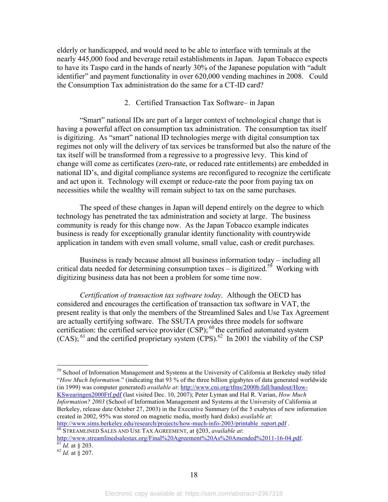elderly or handicapped, and would need to be able to interface with terminals at the nearly 445,000 food and beverage retail establishments in Japan. Japan Tobacco expects to have its Taspo card in the hands of nearly 30% of the Japanese population with "adult identifier" and payment functionality in over 620,000 vending machines in 2008. Could the Consumption Tax administration do the same for a CT-ID card?

#### 2. Certified Transaction Tax Software– in Japan

"Smart" national IDs are part of a larger context of technological change that is having a powerful affect on consumption tax administration. The consumption tax itself is digitizing. As "smart" national ID technologies merge with digital consumption tax regimes not only will the delivery of tax services be transformed but also the nature of the tax itself will be transformed from a regressive to a progressive levy. This kind of change will come as certificates (zero-rate, or reduced rate entitlements) are embedded in national ID's, and digital compliance systems are reconfigured to recognize the certificate and act upon it. Technology will exempt or reduce-rate the poor from paying tax on necessities while the wealthy will remain subject to tax on the same purchases.

The speed of these changes in Japan will depend entirely on the degree to which technology has penetrated the tax administration and society at large. The business community is ready for this change now. As the Japan Tobacco example indicates business is ready for exceptionally granular identity functionality with countrywide application in tandem with even small volume, small value, cash or credit purchases.

Business is ready because almost all business information today – including all critical data needed for determining consumption taxes – is digitized.<sup>59</sup> Working with digitizing business data has not been a problem for some time now.

*Certification of transaction tax software today*. Although the OECD has considered and encourages the certification of transaction tax software in VAT, the present reality is that only the members of the Streamlined Sales and Use Tax Agreement are actually certifying software. The SSUTA provides three models for software certification: the certified service provider  $(CSP)$ ; <sup>60</sup> the certified automated system  $(CAS)$ ; <sup>61</sup> and the certified proprietary system  $(CPS)$ .<sup>62</sup> In 2001 the viability of the CSP

<sup>59</sup> School of Information Management and Systems at the University of California at Berkeley study titled "*How Much Information.*" (indicating that 93 % of the three billion gigabytes of data generated worldwide (in 1999) was computer generated) *available at*: http://www.cni.org/tfms/2000b.fall/handout/How-KSwearingen2000Ftf.pdf (last visited Dec. 10, 2007); Peter Lyman and Hal R. Varian, *How Much Information? 2003* (School of Information Management and Systems at the University of California at Berkeley, release date October 27, 2003) in the Executive Summary (of the 5 exabytes of new information created in 2002, 95% was stored on magnetic media, mostly hard disks) *available at*:

http://www.sims.berkeley.edu/research/projects/how-much-info-2003/printable\_report.pdf . 60 STREAMLINED SALES AND USE TAX AGREEMENT, at §203, *available at*: http://www.streamlinedsalestax.org/Final%20Agreement%20As%20Amended%2011-16-04.pdf. <sup>61</sup> *Id.* at § 203. 62 *Id.* at § 207.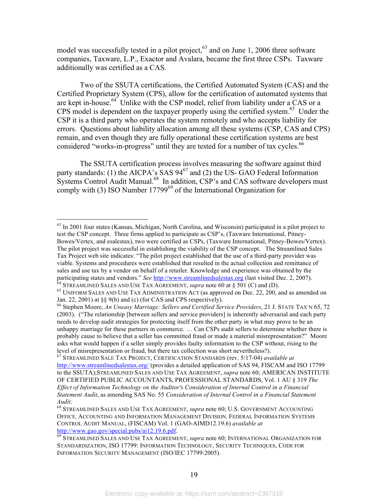model was successfully tested in a pilot project,<sup>63</sup> and on June 1, 2006 three software companies, Taxware, L.P., Exactor and Avalara, became the first three CSPs. Taxware additionally was certified as a CAS.

Two of the SSUTA certifications, the Certified Automated System (CAS) and the Certified Proprietary System (CPS), allow for the certification of automated systems that are kept in-house.<sup>64</sup> Unlike with the CSP model, relief from liability under a CAS or a CPS model is dependent on the taxpayer properly using the certified system.<sup>65</sup> Under the CSP it is a third party who operates the system remotely and who accepts liability for errors. Questions about liability allocation among all these systems (CSP, CAS and CPS) remain, and even though they are fully operational these certification systems are best considered "works-in-progress" until they are tested for a number of tax cycles.<sup>66</sup>

The SSUTA certification process involves measuring the software against third party standards: (1) the AICPA's SAS  $94^{67}$  and (2) the US- GAO Federal Information Systems Control Audit Manual.<sup>68</sup> In addition, CSP's and CAS software developers must comply with (3) ISO Number  $17799^{69}$  of the International Organization for

 $63$  In 2001 four states (Kansas, Michigan, North Carolina, and Wisconsin) participated in a pilot project to test the CSP concept. Three firms applied to participate as CSP's, (Taxware International, Pitney-Bowes/Vertex, and esalestax), two were certified as CSPs, (Taxware International, Pitney-Bowes/Vertex). The pilot project was successful in establishing the viability of the CSP concept. The Streamlined Sales Tax Project web site indicates: "The pilot project established that the use of a third-party provider was viable. Systems and procedures were established that resulted in the actual collection and remittance of sales and use tax by a vendor on behalf of a retailer. Knowledge and experience was obtained by the participating states and vendors." See http://www.streamlinedsalestax.org (last visited Dec. 2, 2007).<br><sup>64</sup> STREAMLINED SALES AND USE TAX AGREEMENT, *supra* note 60 at § 501 (C) and (D).<br><sup>65</sup> UNIFORM SALES AND USE TAX ADMI

Jan. 22, 2001) at §§ 9(b) and (c) (for CAS and CPS respectively).

<sup>66</sup> Stephen Moore, *An Uneasy Marriage: Sellers and Certified Service Providers*, 21 J. STATE TAX'N 65, 72 (2003). ("The relationship [between sellers and service providers] is inherently adversarial and each party needs to develop audit strategies for protecting itself from the other party in what may prove to be an unhappy marriage for these partners in commerce. … Can CSPs audit sellers to determine whether there is probably cause to believe that a seller has committed fraud or made a material misrepresentation?" Moore asks what would happen if a seller simply provides faulty information to the CSP without, rising to the level of misrepresentation or fraud, but there tax collection was short nevertheless?). 67 STREAMLINED SALE TAX PROJECT, CERTIFICATION STANDARDS (rev. 5/17-04) *available at*

http://www.streamlinedsalestax.org/ (provides a detailed application of SAS 94, FISCAM and ISO 17799 to the SSUTA);STREAMLINED SALES AND USE TAX AGREEMENT, *supra* note 60; AMERICAN INSTITUTE OF CERTIFIED PUBLIC ACCOUNTANTS, PROFESSIONAL STANDARDS, Vol. 1 AU § 319 *The Effect of Information Technology on the Auditor's Consideration of Internal Control in a Financial Statement Audit*, as amending SAS No. 55 *Consideration of Internal Control in a Financial Statement Audit*. <sup>68</sup> STREAMLINED SALES AND USE TAX AGREEMENT, *supra* note 60; U.S. GOVERNMENT ACCOUNTING

OFFICE, ACCOUNTING AND INFORMATION MANAGEMENT DIVISION, FEDERAL INFORMATION SYSTEMS CONTROL AUDIT MANUAL, (FISCAM) Vol. 1 (GAO-AIMD12.19.6) *available at* http://www.gao.gov/special.pubs/ai12.19.6.pdf.<br><sup>69</sup> STREAMLINED SALES AND USE TAX AGREEMENT, *supra* note 60; INTERNATIONAL ORGANIZATION FOR

STANDARDIZATION, ISO 17799: INFORMATION TECHNOLOGY, SECURITY TECHNIQUES, CODE FOR INFORMATION SECURITY MANAGEMENT (ISO/IEC 17799:2005).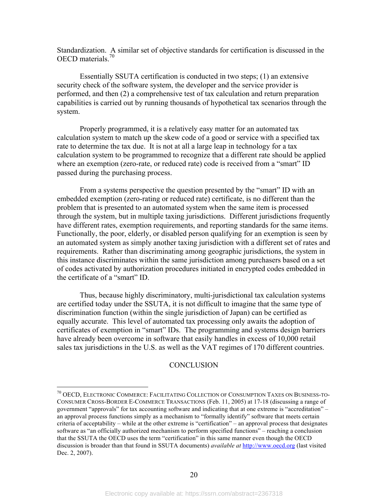Standardization. A similar set of objective standards for certification is discussed in the OECD materials<sup>70</sup>

Essentially SSUTA certification is conducted in two steps; (1) an extensive security check of the software system, the developer and the service provider is performed, and then (2) a comprehensive test of tax calculation and return preparation capabilities is carried out by running thousands of hypothetical tax scenarios through the system.

Properly programmed, it is a relatively easy matter for an automated tax calculation system to match up the skew code of a good or service with a specified tax rate to determine the tax due. It is not at all a large leap in technology for a tax calculation system to be programmed to recognize that a different rate should be applied where an exemption (zero-rate, or reduced rate) code is received from a "smart" ID passed during the purchasing process.

From a systems perspective the question presented by the "smart" ID with an embedded exemption (zero-rating or reduced rate) certificate, is no different than the problem that is presented to an automated system when the same item is processed through the system, but in multiple taxing jurisdictions. Different jurisdictions frequently have different rates, exemption requirements, and reporting standards for the same items. Functionally, the poor, elderly, or disabled person qualifying for an exemption is seen by an automated system as simply another taxing jurisdiction with a different set of rates and requirements. Rather than discriminating among geographic jurisdictions, the system in this instance discriminates within the same jurisdiction among purchasers based on a set of codes activated by authorization procedures initiated in encrypted codes embedded in the certificate of a "smart" ID.

Thus, because highly discriminatory, multi-jurisdictional tax calculation systems are certified today under the SSUTA, it is not difficult to imagine that the same type of discrimination function (within the single jurisdiction of Japan) can be certified as equally accurate. This level of automated tax processing only awaits the adoption of certificates of exemption in "smart" IDs. The programming and systems design barriers have already been overcome in software that easily handles in excess of 10,000 retail sales tax jurisdictions in the U.S. as well as the VAT regimes of 170 different countries.

#### **CONCLUSION**

 <sup>70</sup> OECD, ELECTRONIC COMMERCE: FACILITATING COLLECTION OF CONSUMPTION TAXES ON BUSINESS-TO-CONSUMER CROSS-BORDER E-COMMERCE TRANSACTIONS (Feb. 11, 2005) at 17-18 (discussing a range of government "approvals" for tax accounting software and indicating that at one extreme is "accreditation" – an approval process functions simply as a mechanism to "formally identify" software that meets certain criteria of acceptability – while at the other extreme is "certification" – an approval process that designates software as "an officially authorized mechanism to perform specified functions" – reaching a conclusion that the SSUTA the OECD uses the term "certification" in this same manner even though the OECD discussion is broader than that found in SSUTA documents) *available at* http://www.oecd.org (last visited Dec. 2, 2007).